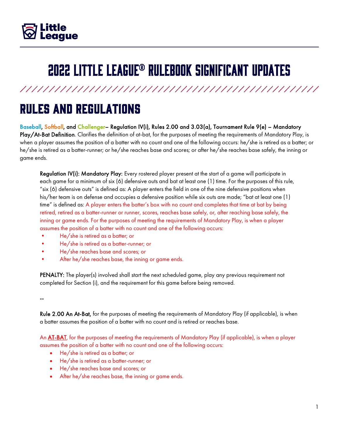

# 2022 Little League® Rulebook Significant Updates

### Rules and Regulations

Baseball, Softball, and Challenger– Regulation IV(i), Rules 2.00 and 3.03(a), Tournament Rule 9(e) – Mandatory Play/At-Bat Definition. Clarifies the definition of at-bat, for the purposes of meeting the requirements of Mandatory Play, is when a player assumes the position of a batter with no count and one of the following occurs: he/she is retired as a batter; or he/she is retired as a batter-runner; or he/she reaches base and scores; or after he/she reaches base safely, the inning or game ends.

Regulation IV(i): Mandatory Play: Every rostered player present at the start of a game will participate in each game for a minimum of six (6) defensive outs and bat at least one (1) time. For the purposes of this rule, "six (6) defensive outs" is defined as: A player enters the field in one of the nine defensive positions when his/her team is on defense and occupies a defensive position while six outs are made; "bat at least one (1) time" is defined as: A player enters the batter's box with no count and completes that time at bat by being retired, retired as a batter-runner or runner, scores, reaches base safely, or, after reaching base safely, the inning or game ends. For the purposes of meeting the requirements of Mandatory Play, is when a player assumes the position of a batter with no count and one of the following occurs:

- He/she is retired as a batter; or
- He/she is retired as a batter-runner; or
- He/she reaches base and scores; or
- After he/she reaches base, the inning or game ends.

PENALTY: The player(s) involved shall start the next scheduled game, play any previous requirement not completed for Section (i), and the requirement for this game before being removed.

--

Rule 2.00 An At-Bat, for the purposes of meeting the requirements of Mandatory Play (if applicable), is when a batter assumes the position of a batter with no count and is retired or reaches base.

An **AT-BAT**, for the purposes of meeting the requirements of Mandatory Play (if applicable), is when a player assumes the position of a batter with no count and one of the following occurs:

- He/she is retired as a batter; or
- He/she is retired as a batter-runner; or
- He/she reaches base and scores; or
- After he/she reaches base, the inning or game ends.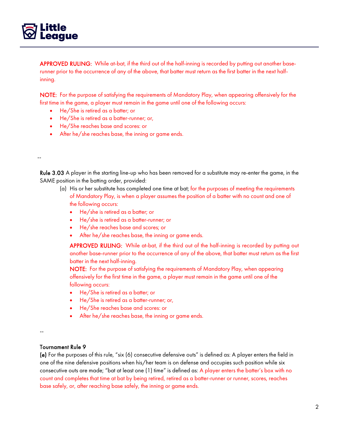

APPROVED RULING: While at-bat, if the third out of the half-inning is recorded by putting out another baserunner prior to the occurrence of any of the above, that batter must return as the first batter in the next halfinning.

NOTE: For the purpose of satisfying the requirements of Mandatory Play, when appearing offensively for the first time in the game, a player must remain in the game until one of the following occurs:

- He/She is retired as a batter; or
- He/She is retired as a batter-runner; or,
- He/She reaches base and scores: or
- After he/she reaches base, the inning or game ends.

#### --

Rule 3.03 A player in the starting line-up who has been removed for a substitute may re-enter the game, in the SAME position in the batting order, provided:

- (a) His or her substitute has completed one time at bat; for the purposes of meeting the requirements of Mandatory Play, is when a player assumes the position of a batter with no count and one of the following occurs:
	- He/she is retired as a batter; or
	- He/she is retired as a batter-runner; or
	- He/she reaches base and scores; or
	- After he/she reaches base, the inning or game ends.

APPROVED RULING: While at-bat, if the third out of the half-inning is recorded by putting out another base-runner prior to the occurrence of any of the above, that batter must return as the first batter in the next half-inning.

NOTE: For the purpose of satisfying the requirements of Mandatory Play, when appearing offensively for the first time in the game, a player must remain in the game until one of the following occurs:

- He/She is retired as a batter; or
- He/She is retired as a batter-runner; or,
- He/She reaches base and scores: or
- After he/she reaches base, the inning or game ends.

--

#### Tournament Rule 9

(e) For the purposes of this rule, "six (6) consecutive defensive outs" is defined as: A player enters the field in one of the nine defensive positions when his/her team is on defense and occupies such position while six consecutive outs are made; "bat at least one (1) time" is defined as: A player enters the batter's box with no count and completes that time at bat by being retired, retired as a batter-runner or runner, scores, reaches base safely, or, after reaching base safely, the inning or game ends.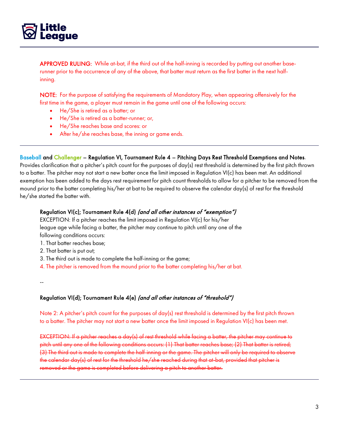

APPROVED RULING: While at-bat, if the third out of the half-inning is recorded by putting out another baserunner prior to the occurrence of any of the above, that batter must return as the first batter in the next halfinning.

NOTE: For the purpose of satisfying the requirements of Mandatory Play, when appearing offensively for the first time in the game, a player must remain in the game until one of the following occurs:

- He/She is retired as a batter; or
- He/She is retired as a batter-runner; or,
- He/She reaches base and scores: or
- After he/she reaches base, the inning or game ends.

#### Baseball and Challenger – Regulation VI, Tournament Rule 4 – Pitching Days Rest Threshold Exemptions and Notes.

Provides clarification that a pitcher's pitch count for the purposes of day(s) rest threshold is determined by the first pitch thrown to a batter. The pitcher may not start a new batter once the limit imposed in Regulation VI(c) has been met. An additional exemption has been added to the days rest requirement for pitch count thresholds to allow for a pitcher to be removed from the mound prior to the batter completing his/her at bat to be required to observe the calendar day(s) of rest for the threshold he/she started the batter with.

#### Regulation VI(c); Tournament Rule 4(d) (and all other instances of "exemption")

EXCEPTION: If a pitcher reaches the limit imposed in Regulation VI(c) for his/her league age while facing a batter, the pitcher may continue to pitch until any one of the following conditions occurs:

- 1. That batter reaches base;
- 2. That batter is put out;
- 3. The third out is made to complete the half-inning or the game;
- 4. The pitcher is removed from the mound prior to the batter completing his/her at bat.
- --

#### Regulation VI(d); Tournament Rule 4(e) (and all other instances of "threshold")

Note 2: A pitcher's pitch count for the purposes of day(s) rest threshold is determined by the first pitch thrown to a batter. The pitcher may not start a new batter once the limit imposed in Regulation VI(c) has been met.

EXCEPTION: If a pitcher reaches a day(s) of rest threshold while facing a batter, the pitcher may continue to pitch until any one of the following conditions occurs: (1) That batter reaches base; (2) That batter is retired; (3) The third out is made to complete the half-inning or the game. The pitcher will only be required to observe the calendar day(s) of rest for the threshold he/she reached during that at-bat, provided that pitcher is removed or the game is completed before delivering a pitch to another batter.